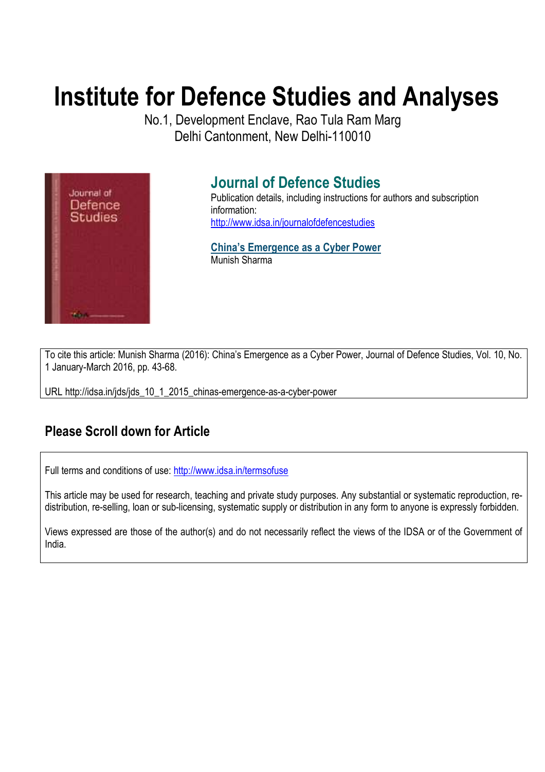# **Institute for Defence Studies and Analyses**

No.1, Development Enclave, Rao Tula Ram Marg Delhi Cantonment, New Delhi-110010



# **Journal of Defence Studies**

Publication details, including instructions for authors and subscription information: http://www.idsa.in/journalofdefencestudies

**China's Emergence as a Cyber Power**  Munish Sharma

To cite this article: Munish Sharma (2016): China's Emergence as a Cyber Power, Journal of Defence Studies, Vol. 10, No. 1 January-March 2016, pp. 43-68.

URL http://idsa.in/jds/jds\_10\_1\_2015\_chinas-emergence-as-a-cyber-power

# **Please Scroll down for Article**

Full terms and conditions of use: http://www.idsa.in/termsofuse

This article may be used for research, teaching and private study purposes. Any substantial or systematic reproduction, redistribution, re-selling, loan or sub-licensing, systematic supply or distribution in any form to anyone is expressly forbidden.

Views expressed are those of the author(s) and do not necessarily reflect the views of the IDSA or of the Government of India.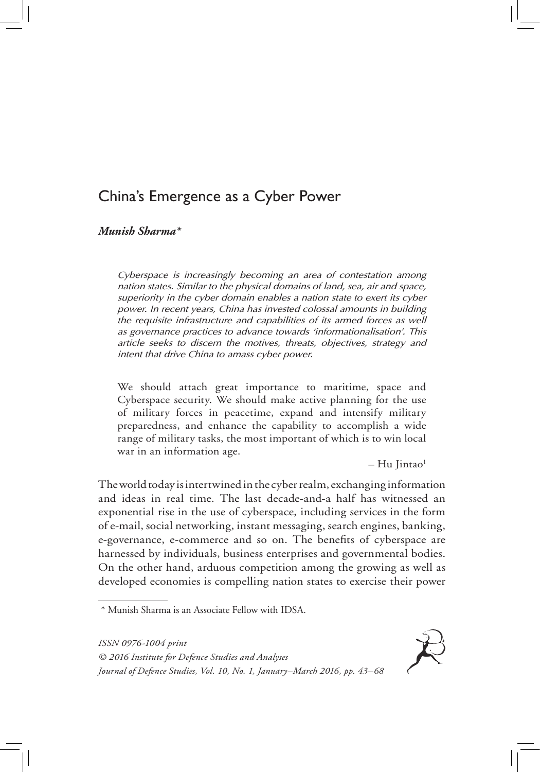# China's Emergence as a Cyber Power

*Munish Sharma\**

*Cyberspace is increasingly becoming an area of contestation among nation states. Similar to the physical domains of land, sea, air and space, superiority in the cyber domain enables a nation state to exert its cyber power. In recent years, China has invested colossal amounts in building the requisite infrastructure and capabilities of its armed forces as well as governance practices to advance towards 'informationalisation'. This article seeks to discern the motives, threats, objectives, strategy and intent that drive China to amass cyber power.* 

We should attach great importance to maritime, space and Cyberspace security. We should make active planning for the use of military forces in peacetime, expand and intensify military preparedness, and enhance the capability to accomplish a wide range of military tasks, the most important of which is to win local war in an information age.

 $-$  Hu Jintao<sup>1</sup>

The world today is intertwined in the cyber realm, exchanging information and ideas in real time. The last decade-and-a half has witnessed an exponential rise in the use of cyberspace, including services in the form of e-mail, social networking, instant messaging, search engines, banking, e-governance, e-commerce and so on. The benefits of cyberspace are harnessed by individuals, business enterprises and governmental bodies. On the other hand, arduous competition among the growing as well as developed economies is compelling nation states to exercise their power

*ISSN 0976-1004 print*



*<sup>© 2016</sup> Institute for Defence Studies and Analyses Journal of Defence Studies, Vol. 10, No. 1, January–March 2016, pp. 43–68*

<sup>\*</sup> Munish Sharma is an Associate Fellow with IDSA.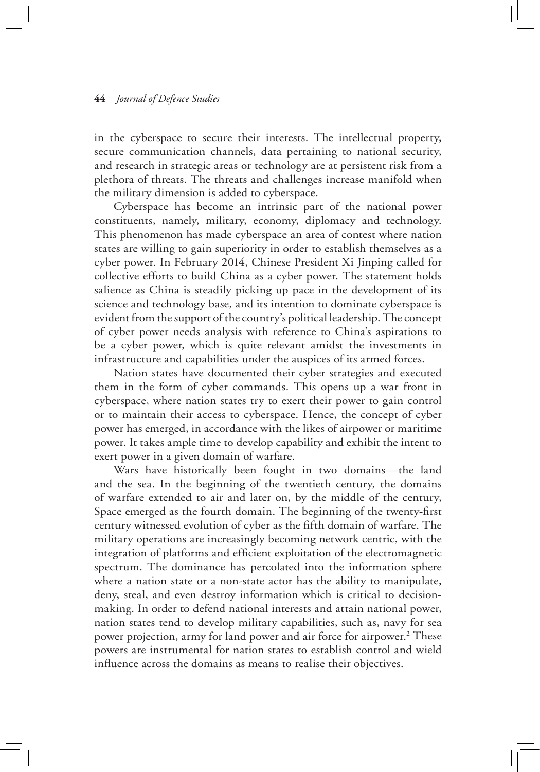in the cyberspace to secure their interests. The intellectual property, secure communication channels, data pertaining to national security, and research in strategic areas or technology are at persistent risk from a plethora of threats. The threats and challenges increase manifold when the military dimension is added to cyberspace.

Cyberspace has become an intrinsic part of the national power constituents, namely, military, economy, diplomacy and technology. This phenomenon has made cyberspace an area of contest where nation states are willing to gain superiority in order to establish themselves as a cyber power. In February 2014, Chinese President Xi Jinping called for collective efforts to build China as a cyber power. The statement holds salience as China is steadily picking up pace in the development of its science and technology base, and its intention to dominate cyberspace is evident from the support of the country's political leadership. The concept of cyber power needs analysis with reference to China's aspirations to be a cyber power, which is quite relevant amidst the investments in infrastructure and capabilities under the auspices of its armed forces.

Nation states have documented their cyber strategies and executed them in the form of cyber commands. This opens up a war front in cyberspace, where nation states try to exert their power to gain control or to maintain their access to cyberspace. Hence, the concept of cyber power has emerged, in accordance with the likes of airpower or maritime power. It takes ample time to develop capability and exhibit the intent to exert power in a given domain of warfare.

Wars have historically been fought in two domains—the land and the sea. In the beginning of the twentieth century, the domains of warfare extended to air and later on, by the middle of the century, Space emerged as the fourth domain. The beginning of the twenty-first century witnessed evolution of cyber as the fifth domain of warfare. The military operations are increasingly becoming network centric, with the integration of platforms and efficient exploitation of the electromagnetic spectrum. The dominance has percolated into the information sphere where a nation state or a non-state actor has the ability to manipulate, deny, steal, and even destroy information which is critical to decisionmaking. In order to defend national interests and attain national power, nation states tend to develop military capabilities, such as, navy for sea power projection, army for land power and air force for airpower.<sup>2</sup> These powers are instrumental for nation states to establish control and wield influence across the domains as means to realise their objectives.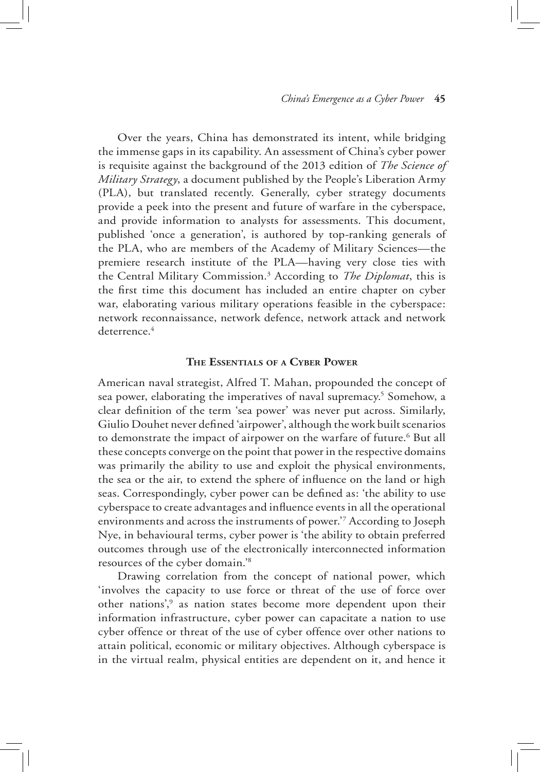Over the years, China has demonstrated its intent, while bridging the immense gaps in its capability. An assessment of China's cyber power is requisite against the background of the 2013 edition of *The Science of Military Strategy*, a document published by the People's Liberation Army (PLA), but translated recently. Generally, cyber strategy documents provide a peek into the present and future of warfare in the cyberspace, and provide information to analysts for assessments. This document, published 'once a generation', is authored by top-ranking generals of the PLA, who are members of the Academy of Military Sciences—the premiere research institute of the PLA—having very close ties with the Central Military Commission.3 According to *The Diplomat*, this is the first time this document has included an entire chapter on cyber war, elaborating various military operations feasible in the cyberspace: network reconnaissance, network defence, network attack and network deterrence.<sup>4</sup>

# **The Essentials of a Cyber Power**

American naval strategist, Alfred T. Mahan, propounded the concept of sea power, elaborating the imperatives of naval supremacy.<sup>5</sup> Somehow, a clear definition of the term 'sea power' was never put across. Similarly, Giulio Douhet never defined 'airpower', although the work built scenarios to demonstrate the impact of airpower on the warfare of future.<sup>6</sup> But all these concepts converge on the point that power in the respective domains was primarily the ability to use and exploit the physical environments, the sea or the air, to extend the sphere of influence on the land or high seas. Correspondingly, cyber power can be defined as: 'the ability to use cyberspace to create advantages and influence events in all the operational environments and across the instruments of power.'7 According to Joseph Nye, in behavioural terms, cyber power is 'the ability to obtain preferred outcomes through use of the electronically interconnected information resources of the cyber domain.'8

Drawing correlation from the concept of national power, which 'involves the capacity to use force or threat of the use of force over other nations',<sup>9</sup> as nation states become more dependent upon their information infrastructure, cyber power can capacitate a nation to use cyber offence or threat of the use of cyber offence over other nations to attain political, economic or military objectives. Although cyberspace is in the virtual realm, physical entities are dependent on it, and hence it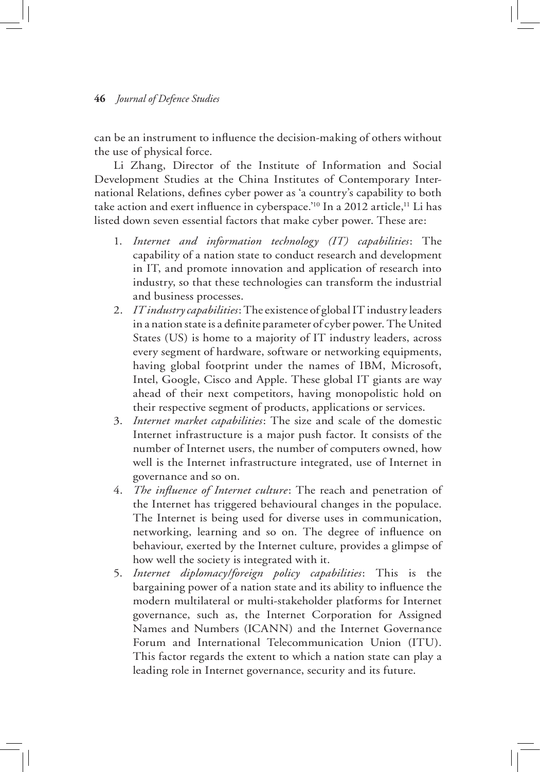can be an instrument to influence the decision-making of others without the use of physical force.

Li Zhang, Director of the Institute of Information and Social Development Studies at the China Institutes of Contemporary International Relations, defines cyber power as 'a country's capability to both take action and exert influence in cyberspace.'<sup>10</sup> In a 2012 article,<sup>11</sup> Li has listed down seven essential factors that make cyber power. These are:

- 1. *Internet and information technology (IT) capabilities*: The capability of a nation state to conduct research and development in IT, and promote innovation and application of research into industry, so that these technologies can transform the industrial and business processes.
- 2. *IT industry capabilities*: The existence of global IT industry leaders in a nation state is a definite parameter of cyber power. The United States (US) is home to a majority of IT industry leaders, across every segment of hardware, software or networking equipments, having global footprint under the names of IBM, Microsoft, Intel, Google, Cisco and Apple. These global IT giants are way ahead of their next competitors, having monopolistic hold on their respective segment of products, applications or services.
- 3. *Internet market capabilities*: The size and scale of the domestic Internet infrastructure is a major push factor. It consists of the number of Internet users, the number of computers owned, how well is the Internet infrastructure integrated, use of Internet in governance and so on.
- 4. *The influence of Internet culture*: The reach and penetration of the Internet has triggered behavioural changes in the populace. The Internet is being used for diverse uses in communication, networking, learning and so on. The degree of influence on behaviour, exerted by the Internet culture, provides a glimpse of how well the society is integrated with it.
- 5. *Internet diplomacy/foreign policy capabilities*: This is the bargaining power of a nation state and its ability to influence the modern multilateral or multi-stakeholder platforms for Internet governance, such as, the Internet Corporation for Assigned Names and Numbers (ICANN) and the Internet Governance Forum and International Telecommunication Union (ITU). This factor regards the extent to which a nation state can play a leading role in Internet governance, security and its future.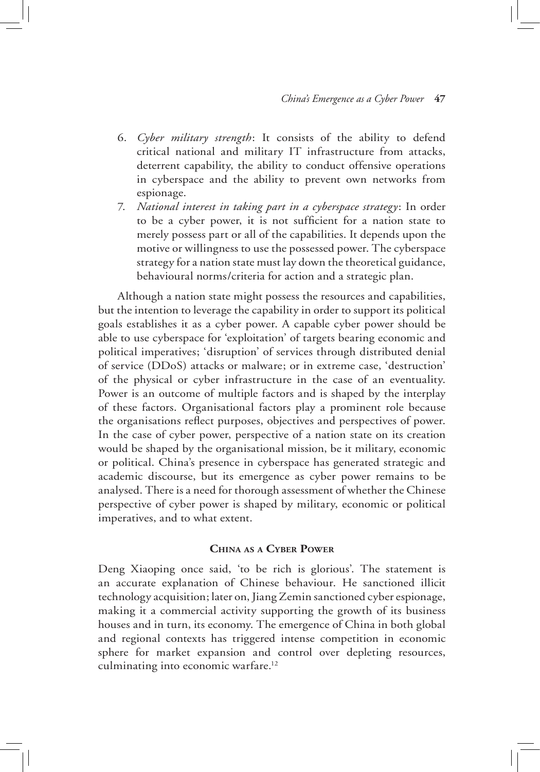- 6. *Cyber military strength*: It consists of the ability to defend critical national and military IT infrastructure from attacks, deterrent capability, the ability to conduct offensive operations in cyberspace and the ability to prevent own networks from espionage.
- 7. *National interest in taking part in a cyberspace strategy*: In order to be a cyber power, it is not sufficient for a nation state to merely possess part or all of the capabilities. It depends upon the motive or willingness to use the possessed power. The cyberspace strategy for a nation state must lay down the theoretical guidance, behavioural norms/criteria for action and a strategic plan.

Although a nation state might possess the resources and capabilities, but the intention to leverage the capability in order to support its political goals establishes it as a cyber power. A capable cyber power should be able to use cyberspace for 'exploitation' of targets bearing economic and political imperatives; 'disruption' of services through distributed denial of service (DDoS) attacks or malware; or in extreme case, 'destruction' of the physical or cyber infrastructure in the case of an eventuality. Power is an outcome of multiple factors and is shaped by the interplay of these factors. Organisational factors play a prominent role because the organisations reflect purposes, objectives and perspectives of power. In the case of cyber power, perspective of a nation state on its creation would be shaped by the organisational mission, be it military, economic or political. China's presence in cyberspace has generated strategic and academic discourse, but its emergence as cyber power remains to be analysed. There is a need for thorough assessment of whether the Chinese perspective of cyber power is shaped by military, economic or political imperatives, and to what extent.

# **China as a Cyber Power**

Deng Xiaoping once said, 'to be rich is glorious'. The statement is an accurate explanation of Chinese behaviour. He sanctioned illicit technology acquisition; later on, Jiang Zemin sanctioned cyber espionage, making it a commercial activity supporting the growth of its business houses and in turn, its economy. The emergence of China in both global and regional contexts has triggered intense competition in economic sphere for market expansion and control over depleting resources, culminating into economic warfare.<sup>12</sup>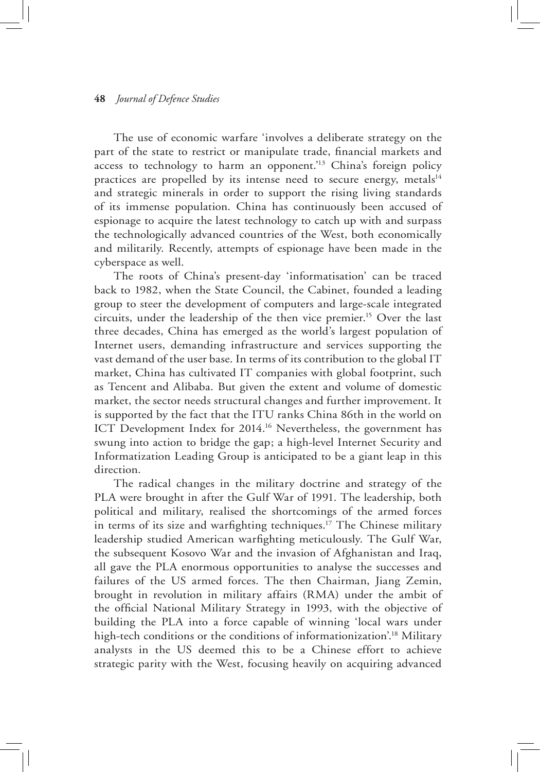The use of economic warfare 'involves a deliberate strategy on the part of the state to restrict or manipulate trade, financial markets and access to technology to harm an opponent.<sup>13</sup> China's foreign policy practices are propelled by its intense need to secure energy, metals $14$ and strategic minerals in order to support the rising living standards of its immense population. China has continuously been accused of espionage to acquire the latest technology to catch up with and surpass the technologically advanced countries of the West, both economically and militarily. Recently, attempts of espionage have been made in the cyberspace as well.

The roots of China's present-day 'informatisation' can be traced back to 1982, when the State Council, the Cabinet, founded a leading group to steer the development of computers and large-scale integrated circuits, under the leadership of the then vice premier.15 Over the last three decades, China has emerged as the world's largest population of Internet users, demanding infrastructure and services supporting the vast demand of the user base. In terms of its contribution to the global IT market, China has cultivated IT companies with global footprint, such as Tencent and Alibaba. But given the extent and volume of domestic market, the sector needs structural changes and further improvement. It is supported by the fact that the ITU ranks China 86th in the world on ICT Development Index for 2014.<sup>16</sup> Nevertheless, the government has swung into action to bridge the gap; a high-level Internet Security and Informatization Leading Group is anticipated to be a giant leap in this direction.

The radical changes in the military doctrine and strategy of the PLA were brought in after the Gulf War of 1991. The leadership, both political and military, realised the shortcomings of the armed forces in terms of its size and warfighting techniques.<sup>17</sup> The Chinese military leadership studied American warfighting meticulously. The Gulf War, the subsequent Kosovo War and the invasion of Afghanistan and Iraq, all gave the PLA enormous opportunities to analyse the successes and failures of the US armed forces. The then Chairman, Jiang Zemin, brought in revolution in military affairs (RMA) under the ambit of the official National Military Strategy in 1993, with the objective of building the PLA into a force capable of winning 'local wars under high-tech conditions or the conditions of informationization'.<sup>18</sup> Military analysts in the US deemed this to be a Chinese effort to achieve strategic parity with the West, focusing heavily on acquiring advanced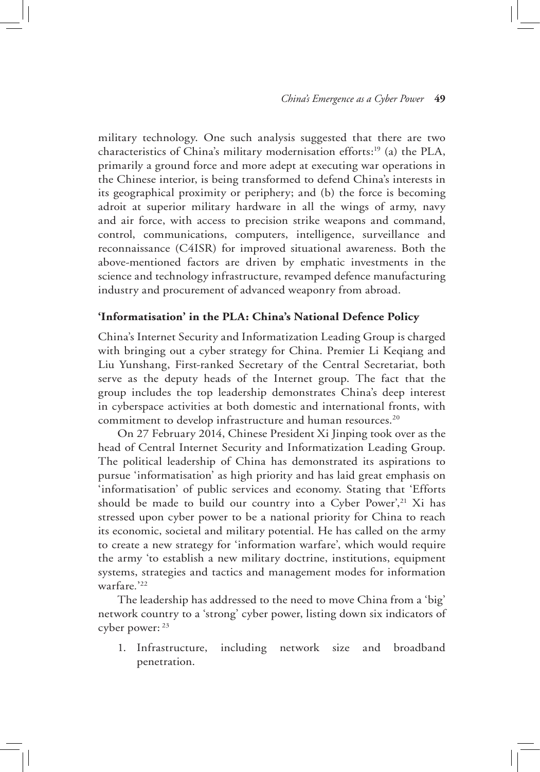military technology. One such analysis suggested that there are two characteristics of China's military modernisation efforts:19 (a) the PLA, primarily a ground force and more adept at executing war operations in the Chinese interior, is being transformed to defend China's interests in its geographical proximity or periphery; and (b) the force is becoming adroit at superior military hardware in all the wings of army, navy and air force, with access to precision strike weapons and command, control, communications, computers, intelligence, surveillance and reconnaissance (C4ISR) for improved situational awareness. Both the above-mentioned factors are driven by emphatic investments in the science and technology infrastructure, revamped defence manufacturing industry and procurement of advanced weaponry from abroad.

# **'Informatisation' in the PLA: China's National Defence Policy**

China's Internet Security and Informatization Leading Group is charged with bringing out a cyber strategy for China. Premier Li Keqiang and Liu Yunshang, First-ranked Secretary of the Central Secretariat, both serve as the deputy heads of the Internet group. The fact that the group includes the top leadership demonstrates China's deep interest in cyberspace activities at both domestic and international fronts, with commitment to develop infrastructure and human resources.<sup>20</sup>

On 27 February 2014, Chinese President Xi Jinping took over as the head of Central Internet Security and Informatization Leading Group. The political leadership of China has demonstrated its aspirations to pursue 'informatisation' as high priority and has laid great emphasis on 'informatisation' of public services and economy. Stating that 'Efforts should be made to build our country into a Cyber Power',<sup>21</sup> Xi has stressed upon cyber power to be a national priority for China to reach its economic, societal and military potential. He has called on the army to create a new strategy for 'information warfare', which would require the army 'to establish a new military doctrine, institutions, equipment systems, strategies and tactics and management modes for information warfare*.*' 22

The leadership has addressed to the need to move China from a 'big' network country to a 'strong' cyber power, listing down six indicators of cyber power: 23

1. Infrastructure, including network size and broadband penetration.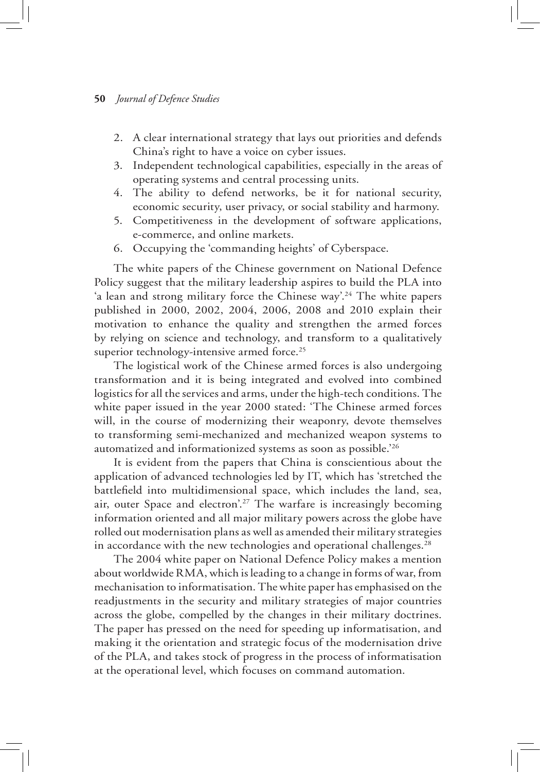- 2. A clear international strategy that lays out priorities and defends China's right to have a voice on cyber issues.
- 3. Independent technological capabilities, especially in the areas of operating systems and central processing units.
- 4. The ability to defend networks, be it for national security, economic security, user privacy, or social stability and harmony.
- 5. Competitiveness in the development of software applications, e-commerce, and online markets.
- 6. Occupying the 'commanding heights' of Cyberspace.

The white papers of the Chinese government on National Defence Policy suggest that the military leadership aspires to build the PLA into 'a lean and strong military force the Chinese way'.<sup>24</sup> The white papers published in 2000, 2002, 2004, 2006, 2008 and 2010 explain their motivation to enhance the quality and strengthen the armed forces by relying on science and technology, and transform to a qualitatively superior technology-intensive armed force.<sup>25</sup>

The logistical work of the Chinese armed forces is also undergoing transformation and it is being integrated and evolved into combined logistics for all the services and arms, under the high-tech conditions. The white paper issued in the year 2000 stated: 'The Chinese armed forces will, in the course of modernizing their weaponry, devote themselves to transforming semi-mechanized and mechanized weapon systems to automatized and informationized systems as soon as possible.'26

It is evident from the papers that China is conscientious about the application of advanced technologies led by IT, which has 'stretched the battlefield into multidimensional space, which includes the land, sea, air, outer Space and electron'.<sup>27</sup> The warfare is increasingly becoming information oriented and all major military powers across the globe have rolled out modernisation plans as well as amended their military strategies in accordance with the new technologies and operational challenges.<sup>28</sup>

The 2004 white paper on National Defence Policy makes a mention about worldwide RMA, which is leading to a change in forms of war, from mechanisation to informatisation. The white paper has emphasised on the readjustments in the security and military strategies of major countries across the globe, compelled by the changes in their military doctrines. The paper has pressed on the need for speeding up informatisation, and making it the orientation and strategic focus of the modernisation drive of the PLA, and takes stock of progress in the process of informatisation at the operational level, which focuses on command automation.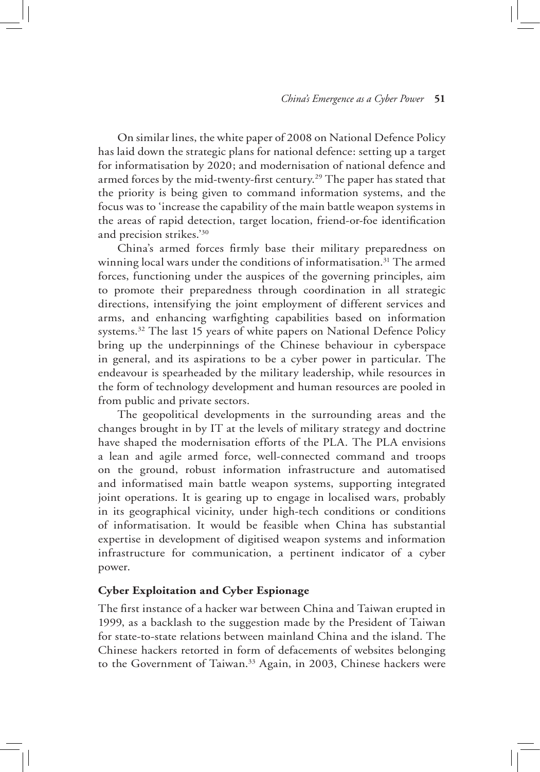On similar lines, the white paper of 2008 on National Defence Policy has laid down the strategic plans for national defence: setting up a target for informatisation by 2020; and modernisation of national defence and armed forces by the mid-twenty-first century.29 The paper has stated that the priority is being given to command information systems, and the focus was to 'increase the capability of the main battle weapon systems in the areas of rapid detection, target location, friend-or-foe identification and precision strikes.'30

China's armed forces firmly base their military preparedness on winning local wars under the conditions of informatisation.<sup>31</sup> The armed forces, functioning under the auspices of the governing principles, aim to promote their preparedness through coordination in all strategic directions, intensifying the joint employment of different services and arms, and enhancing warfighting capabilities based on information systems.<sup>32</sup> The last 15 years of white papers on National Defence Policy bring up the underpinnings of the Chinese behaviour in cyberspace in general, and its aspirations to be a cyber power in particular. The endeavour is spearheaded by the military leadership, while resources in the form of technology development and human resources are pooled in from public and private sectors.

The geopolitical developments in the surrounding areas and the changes brought in by IT at the levels of military strategy and doctrine have shaped the modernisation efforts of the PLA. The PLA envisions a lean and agile armed force, well-connected command and troops on the ground, robust information infrastructure and automatised and informatised main battle weapon systems, supporting integrated joint operations. It is gearing up to engage in localised wars, probably in its geographical vicinity, under high-tech conditions or conditions of informatisation. It would be feasible when China has substantial expertise in development of digitised weapon systems and information infrastructure for communication, a pertinent indicator of a cyber power.

# **Cyber Exploitation and Cyber Espionage**

The first instance of a hacker war between China and Taiwan erupted in 1999, as a backlash to the suggestion made by the President of Taiwan for state-to-state relations between mainland China and the island. The Chinese hackers retorted in form of defacements of websites belonging to the Government of Taiwan.<sup>33</sup> Again, in 2003, Chinese hackers were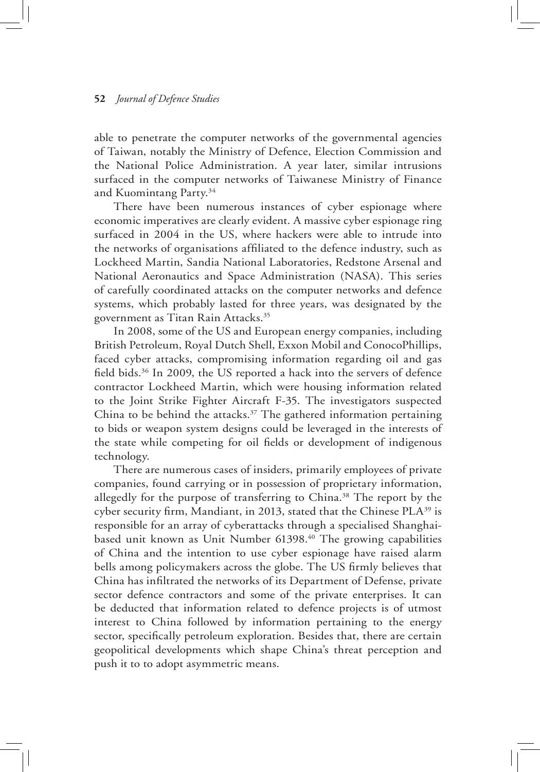able to penetrate the computer networks of the governmental agencies of Taiwan, notably the Ministry of Defence, Election Commission and the National Police Administration. A year later, similar intrusions surfaced in the computer networks of Taiwanese Ministry of Finance and Kuomintang Party.34

There have been numerous instances of cyber espionage where economic imperatives are clearly evident. A massive cyber espionage ring surfaced in 2004 in the US, where hackers were able to intrude into the networks of organisations affiliated to the defence industry, such as Lockheed Martin, Sandia National Laboratories, Redstone Arsenal and National Aeronautics and Space Administration (NASA). This series of carefully coordinated attacks on the computer networks and defence systems, which probably lasted for three years, was designated by the government as Titan Rain Attacks.35

In 2008, some of the US and European energy companies, including British Petroleum, Royal Dutch Shell, Exxon Mobil and ConocoPhillips, faced cyber attacks, compromising information regarding oil and gas field bids.36 In 2009, the US reported a hack into the servers of defence contractor Lockheed Martin, which were housing information related to the Joint Strike Fighter Aircraft F-35. The investigators suspected China to be behind the attacks.<sup>37</sup> The gathered information pertaining to bids or weapon system designs could be leveraged in the interests of the state while competing for oil fields or development of indigenous technology.

There are numerous cases of insiders, primarily employees of private companies, found carrying or in possession of proprietary information, allegedly for the purpose of transferring to China.<sup>38</sup> The report by the cyber security firm, Mandiant, in 2013, stated that the Chinese PLA<sup>39</sup> is responsible for an array of cyberattacks through a specialised Shanghaibased unit known as Unit Number 61398.40 The growing capabilities of China and the intention to use cyber espionage have raised alarm bells among policymakers across the globe. The US firmly believes that China has infiltrated the networks of its Department of Defense, private sector defence contractors and some of the private enterprises. It can be deducted that information related to defence projects is of utmost interest to China followed by information pertaining to the energy sector, specifically petroleum exploration. Besides that, there are certain geopolitical developments which shape China's threat perception and push it to to adopt asymmetric means.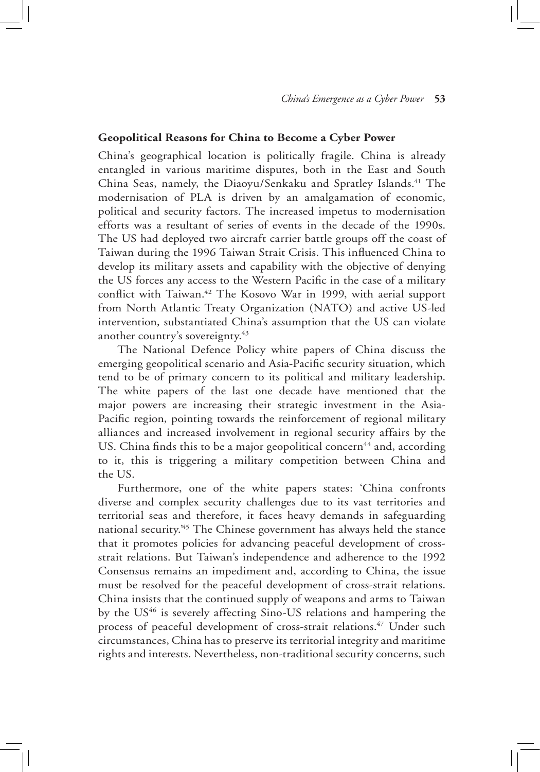# **Geopolitical Reasons for China to Become a Cyber Power**

China's geographical location is politically fragile. China is already entangled in various maritime disputes, both in the East and South China Seas, namely, the Diaoyu/Senkaku and Spratley Islands.<sup>41</sup> The modernisation of PLA is driven by an amalgamation of economic, political and security factors. The increased impetus to modernisation efforts was a resultant of series of events in the decade of the 1990s. The US had deployed two aircraft carrier battle groups off the coast of Taiwan during the 1996 Taiwan Strait Crisis. This influenced China to develop its military assets and capability with the objective of denying the US forces any access to the Western Pacific in the case of a military conflict with Taiwan.<sup>42</sup> The Kosovo War in 1999, with aerial support from North Atlantic Treaty Organization (NATO) and active US-led intervention, substantiated China's assumption that the US can violate another country's sovereignty.<sup>43</sup>

The National Defence Policy white papers of China discuss the emerging geopolitical scenario and Asia-Pacific security situation, which tend to be of primary concern to its political and military leadership. The white papers of the last one decade have mentioned that the major powers are increasing their strategic investment in the Asia-Pacific region, pointing towards the reinforcement of regional military alliances and increased involvement in regional security affairs by the US. China finds this to be a major geopolitical concern<sup>44</sup> and, according to it, this is triggering a military competition between China and the US.

Furthermore, one of the white papers states: 'China confronts diverse and complex security challenges due to its vast territories and territorial seas and therefore, it faces heavy demands in safeguarding national security.'45 The Chinese government has always held the stance that it promotes policies for advancing peaceful development of crossstrait relations. But Taiwan's independence and adherence to the 1992 Consensus remains an impediment and, according to China, the issue must be resolved for the peaceful development of cross-strait relations. China insists that the continued supply of weapons and arms to Taiwan by the US<sup>46</sup> is severely affecting Sino-US relations and hampering the process of peaceful development of cross-strait relations.<sup>47</sup> Under such circumstances, China has to preserve its territorial integrity and maritime rights and interests. Nevertheless, non-traditional security concerns, such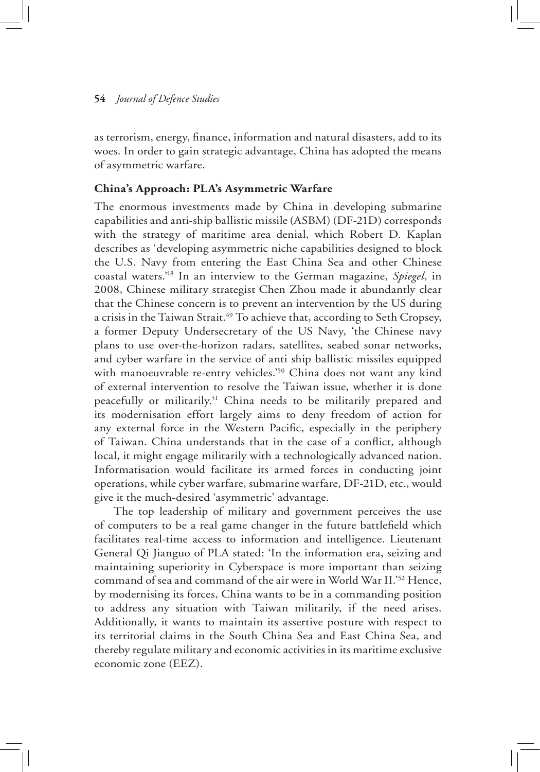as terrorism, energy, finance, information and natural disasters, add to its woes. In order to gain strategic advantage, China has adopted the means of asymmetric warfare.

# **China's Approach: PLA's Asymmetric Warfare**

The enormous investments made by China in developing submarine capabilities and anti-ship ballistic missile (ASBM) (DF-21D) corresponds with the strategy of maritime area denial, which Robert D. Kaplan describes as 'developing asymmetric niche capabilities designed to block the U.S. Navy from entering the East China Sea and other Chinese coastal waters.'48 In an interview to the German magazine, *Spiegel*, in 2008, Chinese military strategist Chen Zhou made it abundantly clear that the Chinese concern is to prevent an intervention by the US during a crisis in the Taiwan Strait.<sup>49</sup> To achieve that, according to Seth Cropsey, a former Deputy Undersecretary of the US Navy, 'the Chinese navy plans to use over-the-horizon radars, satellites, seabed sonar networks, and cyber warfare in the service of anti ship ballistic missiles equipped with manoeuvrable re-entry vehicles.'<sup>50</sup> China does not want any kind of external intervention to resolve the Taiwan issue, whether it is done peacefully or militarily.51 China needs to be militarily prepared and its modernisation effort largely aims to deny freedom of action for any external force in the Western Pacific, especially in the periphery of Taiwan. China understands that in the case of a conflict, although local, it might engage militarily with a technologically advanced nation. Informatisation would facilitate its armed forces in conducting joint operations, while cyber warfare, submarine warfare, DF-21D, etc., would give it the much-desired 'asymmetric' advantage.

The top leadership of military and government perceives the use of computers to be a real game changer in the future battlefield which facilitates real-time access to information and intelligence. Lieutenant General Qi Jianguo of PLA stated: 'In the information era, seizing and maintaining superiority in Cyberspace is more important than seizing command of sea and command of the air were in World War II.'52 Hence, by modernising its forces, China wants to be in a commanding position to address any situation with Taiwan militarily, if the need arises. Additionally, it wants to maintain its assertive posture with respect to its territorial claims in the South China Sea and East China Sea, and thereby regulate military and economic activities in its maritime exclusive economic zone (EEZ).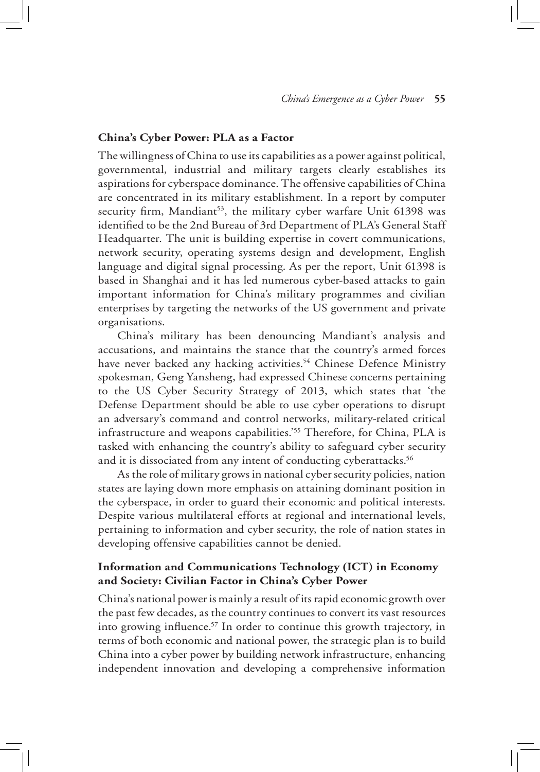# **China's Cyber Power: PLA as a Factor**

The willingness of China to use its capabilities as a power against political, governmental, industrial and military targets clearly establishes its aspirations for cyberspace dominance. The offensive capabilities of China are concentrated in its military establishment. In a report by computer security firm, Mandiant<sup>53</sup>, the military cyber warfare Unit 61398 was identified to be the 2nd Bureau of 3rd Department of PLA's General Staff Headquarter. The unit is building expertise in covert communications, network security, operating systems design and development, English language and digital signal processing. As per the report, Unit 61398 is based in Shanghai and it has led numerous cyber-based attacks to gain important information for China's military programmes and civilian enterprises by targeting the networks of the US government and private organisations.

China's military has been denouncing Mandiant's analysis and accusations, and maintains the stance that the country's armed forces have never backed any hacking activities.<sup>54</sup> Chinese Defence Ministry spokesman, Geng Yansheng, had expressed Chinese concerns pertaining to the US Cyber Security Strategy of 2013, which states that 'the Defense Department should be able to use cyber operations to disrupt an adversary's command and control networks, military-related critical infrastructure and weapons capabilities.'55 Therefore, for China, PLA is tasked with enhancing the country's ability to safeguard cyber security and it is dissociated from any intent of conducting cyberattacks.<sup>56</sup>

As the role of military grows in national cyber security policies, nation states are laying down more emphasis on attaining dominant position in the cyberspace, in order to guard their economic and political interests. Despite various multilateral efforts at regional and international levels, pertaining to information and cyber security, the role of nation states in developing offensive capabilities cannot be denied.

# **Information and Communications Technology (ICT) in Economy and Society: Civilian Factor in China's Cyber Power**

China's national power is mainly a result of its rapid economic growth over the past few decades, as the country continues to convert its vast resources into growing influence.<sup>57</sup> In order to continue this growth trajectory, in terms of both economic and national power, the strategic plan is to build China into a cyber power by building network infrastructure, enhancing independent innovation and developing a comprehensive information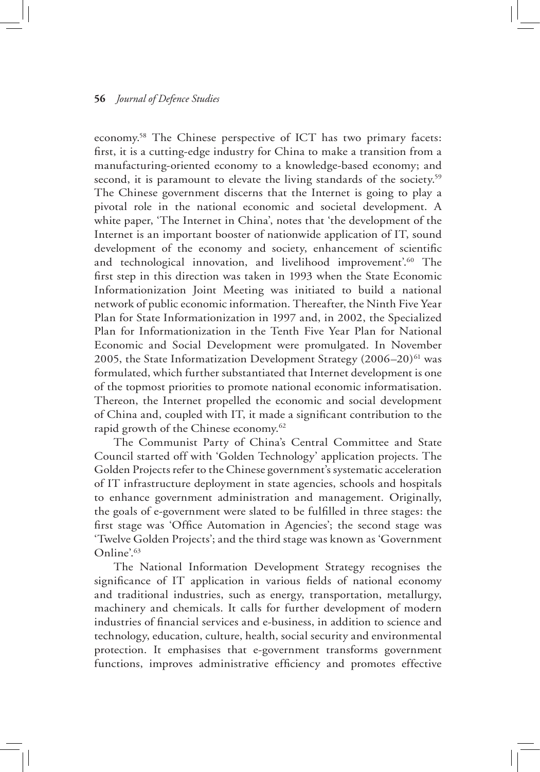economy.58 The Chinese perspective of ICT has two primary facets: first, it is a cutting-edge industry for China to make a transition from a manufacturing-oriented economy to a knowledge-based economy; and second, it is paramount to elevate the living standards of the society.<sup>59</sup> The Chinese government discerns that the Internet is going to play a pivotal role in the national economic and societal development. A white paper, 'The Internet in China', notes that 'the development of the Internet is an important booster of nationwide application of IT, sound development of the economy and society, enhancement of scientific and technological innovation, and livelihood improvement'.<sup>60</sup> The first step in this direction was taken in 1993 when the State Economic Informationization Joint Meeting was initiated to build a national network of public economic information. Thereafter, the Ninth Five Year Plan for State Informationization in 1997 and, in 2002, the Specialized Plan for Informationization in the Tenth Five Year Plan for National Economic and Social Development were promulgated. In November 2005, the State Informatization Development Strategy  $(2006-20)^{61}$  was formulated, which further substantiated that Internet development is one of the topmost priorities to promote national economic informatisation. Thereon, the Internet propelled the economic and social development of China and, coupled with IT, it made a significant contribution to the rapid growth of the Chinese economy.<sup>62</sup>

The Communist Party of China's Central Committee and State Council started off with 'Golden Technology' application projects. The Golden Projects refer to the Chinese government's systematic acceleration of IT infrastructure deployment in state agencies, schools and hospitals to enhance government administration and management. Originally, the goals of e-government were slated to be fulfilled in three stages: the first stage was 'Office Automation in Agencies'; the second stage was 'Twelve Golden Projects'; and the third stage was known as 'Government Online'.63

The National Information Development Strategy recognises the significance of IT application in various fields of national economy and traditional industries, such as energy, transportation, metallurgy, machinery and chemicals. It calls for further development of modern industries of financial services and e-business, in addition to science and technology, education, culture, health, social security and environmental protection. It emphasises that e-government transforms government functions, improves administrative efficiency and promotes effective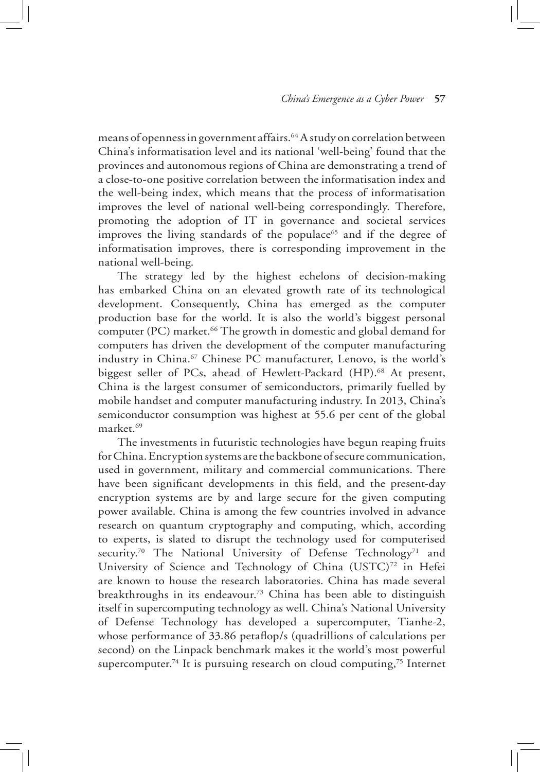means of openness in government affairs.<sup>64</sup> A study on correlation between China's informatisation level and its national 'well-being' found that the provinces and autonomous regions of China are demonstrating a trend of a close-to-one positive correlation between the informatisation index and the well-being index, which means that the process of informatisation improves the level of national well-being correspondingly. Therefore, promoting the adoption of IT in governance and societal services improves the living standards of the populace<sup>65</sup> and if the degree of informatisation improves, there is corresponding improvement in the national well-being.

The strategy led by the highest echelons of decision-making has embarked China on an elevated growth rate of its technological development. Consequently, China has emerged as the computer production base for the world. It is also the world's biggest personal computer (PC) market.<sup>66</sup> The growth in domestic and global demand for computers has driven the development of the computer manufacturing industry in China.<sup>67</sup> Chinese PC manufacturer, Lenovo, is the world's biggest seller of PCs, ahead of Hewlett-Packard (HP).<sup>68</sup> At present, China is the largest consumer of semiconductors, primarily fuelled by mobile handset and computer manufacturing industry. In 2013, China's semiconductor consumption was highest at 55.6 per cent of the global market.69

The investments in futuristic technologies have begun reaping fruits for China. Encryption systems are the backbone of secure communication, used in government, military and commercial communications. There have been significant developments in this field, and the present-day encryption systems are by and large secure for the given computing power available. China is among the few countries involved in advance research on quantum cryptography and computing, which, according to experts, is slated to disrupt the technology used for computerised security.<sup>70</sup> The National University of Defense Technology<sup>71</sup> and University of Science and Technology of China  $(USTC)^{72}$  in Hefei are known to house the research laboratories. China has made several breakthroughs in its endeavour.<sup>73</sup> China has been able to distinguish itself in supercomputing technology as well. China's National University of Defense Technology has developed a supercomputer, Tianhe-2, whose performance of 33.86 petaflop/s (quadrillions of calculations per second) on the Linpack benchmark makes it the world's most powerful supercomputer.<sup>74</sup> It is pursuing research on cloud computing,<sup>75</sup> Internet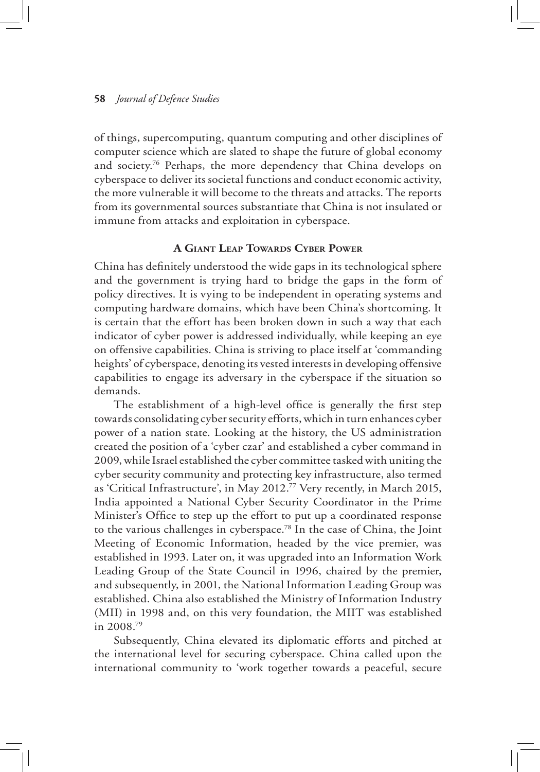of things, supercomputing, quantum computing and other disciplines of computer science which are slated to shape the future of global economy and society.76 Perhaps, the more dependency that China develops on cyberspace to deliver its societal functions and conduct economic activity, the more vulnerable it will become to the threats and attacks. The reports from its governmental sources substantiate that China is not insulated or immune from attacks and exploitation in cyberspace.

# **A Giant Leap Towards Cyber Power**

China has definitely understood the wide gaps in its technological sphere and the government is trying hard to bridge the gaps in the form of policy directives. It is vying to be independent in operating systems and computing hardware domains, which have been China's shortcoming. It is certain that the effort has been broken down in such a way that each indicator of cyber power is addressed individually, while keeping an eye on offensive capabilities. China is striving to place itself at 'commanding heights' of cyberspace, denoting its vested interests in developing offensive capabilities to engage its adversary in the cyberspace if the situation so demands.

The establishment of a high-level office is generally the first step towards consolidating cyber security efforts, which in turn enhances cyber power of a nation state. Looking at the history, the US administration created the position of a 'cyber czar' and established a cyber command in 2009, while Israel established the cyber committee tasked with uniting the cyber security community and protecting key infrastructure, also termed as 'Critical Infrastructure', in May 2012.77 Very recently, in March 2015, India appointed a National Cyber Security Coordinator in the Prime Minister's Office to step up the effort to put up a coordinated response to the various challenges in cyberspace.78 In the case of China, the Joint Meeting of Economic Information, headed by the vice premier, was established in 1993. Later on, it was upgraded into an Information Work Leading Group of the State Council in 1996, chaired by the premier, and subsequently, in 2001, the National Information Leading Group was established. China also established the Ministry of Information Industry (MII) in 1998 and, on this very foundation, the MIIT was established in 2008.79

Subsequently, China elevated its diplomatic efforts and pitched at the international level for securing cyberspace. China called upon the international community to 'work together towards a peaceful, secure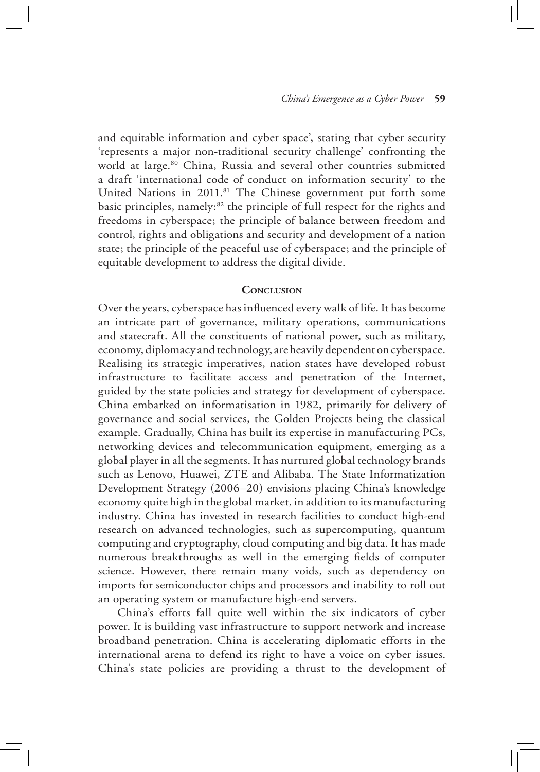and equitable information and cyber space', stating that cyber security 'represents a major non-traditional security challenge' confronting the world at large.<sup>80</sup> China, Russia and several other countries submitted a draft 'international code of conduct on information security' to the United Nations in 2011.<sup>81</sup> The Chinese government put forth some basic principles, namely:<sup>82</sup> the principle of full respect for the rights and freedoms in cyberspace; the principle of balance between freedom and control, rights and obligations and security and development of a nation state; the principle of the peaceful use of cyberspace; and the principle of equitable development to address the digital divide.

# **Conclusion**

Over the years, cyberspace has influenced every walk of life. It has become an intricate part of governance, military operations, communications and statecraft. All the constituents of national power, such as military, economy, diplomacy and technology, are heavily dependent on cyberspace. Realising its strategic imperatives, nation states have developed robust infrastructure to facilitate access and penetration of the Internet, guided by the state policies and strategy for development of cyberspace. China embarked on informatisation in 1982, primarily for delivery of governance and social services, the Golden Projects being the classical example. Gradually, China has built its expertise in manufacturing PCs, networking devices and telecommunication equipment, emerging as a global player in all the segments. It has nurtured global technology brands such as Lenovo, Huawei, ZTE and Alibaba. The State Informatization Development Strategy (2006–20) envisions placing China's knowledge economy quite high in the global market, in addition to its manufacturing industry. China has invested in research facilities to conduct high-end research on advanced technologies, such as supercomputing, quantum computing and cryptography, cloud computing and big data. It has made numerous breakthroughs as well in the emerging fields of computer science. However, there remain many voids, such as dependency on imports for semiconductor chips and processors and inability to roll out an operating system or manufacture high-end servers.

China's efforts fall quite well within the six indicators of cyber power. It is building vast infrastructure to support network and increase broadband penetration. China is accelerating diplomatic efforts in the international arena to defend its right to have a voice on cyber issues. China's state policies are providing a thrust to the development of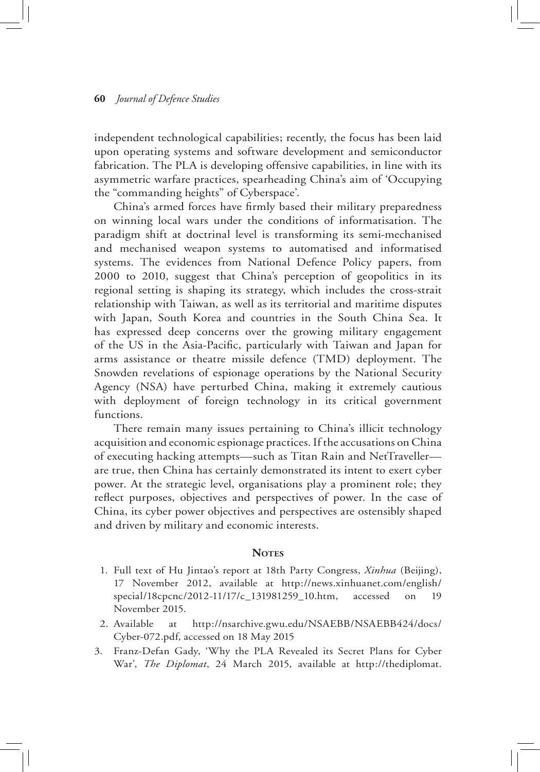independent technological capabilities; recently, the focus has been laid upon operating systems and software development and semiconductor fabrication. The PLA is developing offensive capabilities, in line with its asymmetric warfare practices, spearheading China's aim of 'Occupying the "commanding heights" of Cyberspace'.

China's armed forces have firmly based their military preparedness on winning local wars under the conditions of informatisation. The paradigm shift at doctrinal level is transforming its semi-mechanised and mechanised weapon systems to automatised and informatised systems. The evidences from National Defence Policy papers, from 2000 to 2010, suggest that China's perception of geopolitics in its regional setting is shaping its strategy, which includes the cross-strait relationship with Taiwan, as well as its territorial and maritime disputes with Japan, South Korea and countries in the South China Sea. It has expressed deep concerns over the growing military engagement of the US in the Asia-Pacific, particularly with Taiwan and Japan for arms assistance or theatre missile defence (TMD) deployment. The Snowden revelations of espionage operations by the National Security Agency (NSA) have perturbed China, making it extremely cautious with deployment of foreign technology in its critical government functions.

There remain many issues pertaining to China's illicit technology acquisition and economic espionage practices. If the accusations on China of executing hacking attempts—such as Titan Rain and NetTraveller are true, then China has certainly demonstrated its intent to exert cyber power. At the strategic level, organisations play a prominent role; they reflect purposes, objectives and perspectives of power. In the case of China, its cyber power objectives and perspectives are ostensibly shaped and driven by military and economic interests.

# **NOTES**

- 1. Full text of Hu Jintao's report at 18th Party Congress, *Xinhua* (Beijing), 17 November 2012, available at http://news.xinhuanet.com/english/ special/18cpcnc/2012-11/17/c\_131981259\_10.htm, accessed on 19 November 2015.
- 2. Available at http://nsarchive.gwu.edu/NSAEBB/NSAEBB424/docs/ Cyber-072.pdf, accessed on 18 May 2015
- 3. Franz-Defan Gady, 'Why the PLA Revealed its Secret Plans for Cyber War', *The Diplomat*, 24 March 2015, available at http://thediplomat.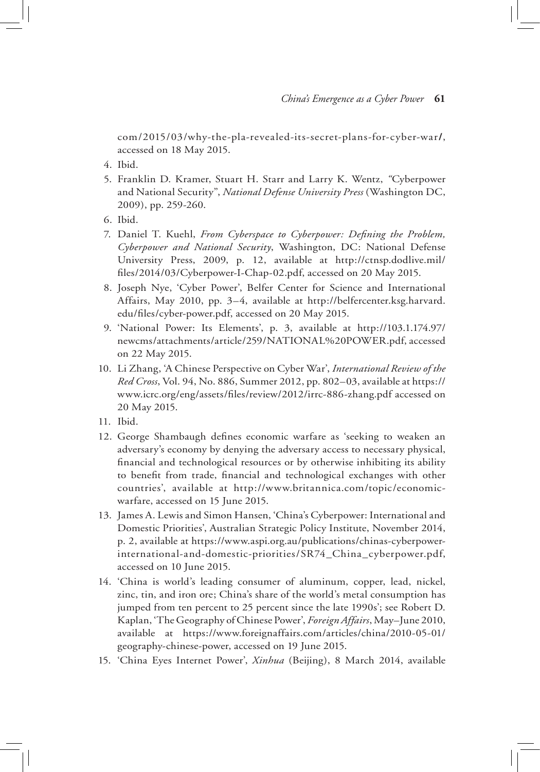com/2015/03/why-the-pla-revealed-its-secret-plans-for-cyber-war**/**, accessed on 18 May 2015.

- 4. Ibid.
- 5. Franklin D. Kramer, Stuart H. Starr and Larry K. Wentz, *"*Cyberpower and National Security", *National Defense University Press* (Washington DC, 2009), pp. 259-260.
- 6. Ibid.
- 7. Daniel T. Kuehl, *From Cyberspace to Cyberpower: Defining the Problem, Cyberpower and National Security*, Washington, DC: National Defense University Press, 2009, p. 12, available at http://ctnsp.dodlive.mil/ files/2014/03/Cyberpower-I-Chap-02.pdf, accessed on 20 May 2015.
- 8. Joseph Nye, 'Cyber Power', Belfer Center for Science and International Affairs, May 2010, pp. 3–4, available at http://belfercenter.ksg.harvard. edu/files/cyber-power.pdf, accessed on 20 May 2015.
- 9. 'National Power: Its Elements', p. 3, available at http://103.1.174.97/ newcms/attachments/article/259/NATIONAL%20POWER.pdf, accessed on 22 May 2015.
- 10. Li Zhang, 'A Chinese Perspective on Cyber War', *International Review of the Red Cross*, Vol. 94, No. 886, Summer 2012, pp. 802–03, available at https:// www.icrc.org/eng/assets/files/review/2012/irrc-886-zhang.pdf accessed on 20 May 2015.
- 11. Ibid.
- 12. George Shambaugh defines economic warfare as 'seeking to weaken an adversary's economy by denying the adversary access to necessary physical, financial and technological resources or by otherwise inhibiting its ability to benefit from trade, financial and technological exchanges with other countries', available at http://www.britannica.com/topic/economicwarfare, accessed on 15 June 2015.
- 13. James A. Lewis and Simon Hansen, 'China's Cyberpower: International and Domestic Priorities', Australian Strategic Policy Institute, November 2014, p. 2, available at https://www.aspi.org.au/publications/chinas-cyberpowerinternational-and-domestic-priorities/SR74\_China\_cyberpower.pdf, accessed on 10 June 2015.
- 14. 'China is world's leading consumer of aluminum, copper, lead, nickel, zinc, tin, and iron ore; China's share of the world's metal consumption has jumped from ten percent to 25 percent since the late 1990s'; see Robert D. Kaplan, 'The Geography of Chinese Power', *Foreign Affairs*, May–June 2010, available at https://www.foreignaffairs.com/articles/china/2010-05-01/ geography-chinese-power, accessed on 19 June 2015.
- 15. 'China Eyes Internet Power', *Xinhua* (Beijing), 8 March 2014, available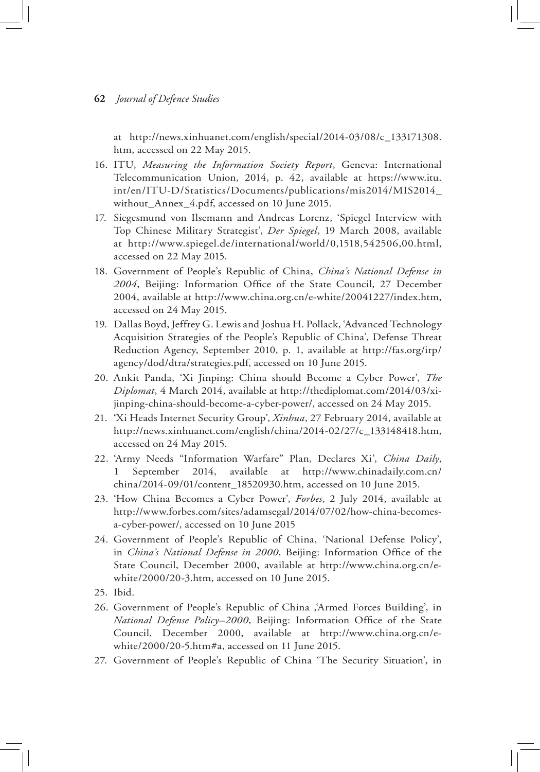at http://news.xinhuanet.com/english/special/2014-03/08/c\_133171308. htm, accessed on 22 May 2015.

- 16. ITU, *Measuring the Information Society Report*, Geneva: International Telecommunication Union, 2014, p. 42, available at https://www.itu. int/en/ITU-D/Statistics/Documents/publications/mis2014/MIS2014\_ without\_Annex\_4.pdf, accessed on 10 June 2015.
- 17. Siegesmund von Ilsemann and Andreas Lorenz, 'Spiegel Interview with Top Chinese Military Strategist', *Der Spiegel*, 19 March 2008, available at http://www.spiegel.de/international/world/0,1518,542506,00.html, accessed on 22 May 2015.
- 18. Government of People's Republic of China, *China's National Defense in 2004*, Beijing: Information Office of the State Council, 27 December 2004, available at http://www.china.org.cn/e-white/20041227/index.htm, accessed on 24 May 2015.
- 19. Dallas Boyd, Jeffrey G. Lewis and Joshua H. Pollack, 'Advanced Technology Acquisition Strategies of the People's Republic of China', Defense Threat Reduction Agency, September 2010, p. 1, available at http://fas.org/irp/ agency/dod/dtra/strategies.pdf, accessed on 10 June 2015.
- 20. Ankit Panda, 'Xi Jinping: China should Become a Cyber Power', *The Diplomat*, 4 March 2014, available at http://thediplomat.com/2014/03/xijinping-china-should-become-a-cyber-power/, accessed on 24 May 2015.
- 21. 'Xi Heads Internet Security Group', *Xinhua*, 27 February 2014, available at http://news.xinhuanet.com/english/china/2014-02/27/c\_133148418.htm, accessed on 24 May 2015.
- 22. 'Army Needs "Information Warfare" Plan, Declares Xi', *China Daily*, September 2014, available at http://www.chinadaily.com.cn/ china/2014-09/01/content\_18520930.htm, accessed on 10 June 2015.
- 23. 'How China Becomes a Cyber Power', *Forbes*, 2 July 2014, available at http://www.forbes.com/sites/adamsegal/2014/07/02/how-china-becomesa-cyber-power/, accessed on 10 June 2015
- 24. Government of People's Republic of China, 'National Defense Policy', in *China's National Defense in 2000*, Beijing: Information Office of the State Council, December 2000, available at http://www.china.org.cn/ewhite/2000/20-3.htm, accessed on 10 June 2015.
- 25. Ibid.
- 26. Government of People's Republic of China ,'Armed Forces Building', in *National Defense Policy–2000*, Beijing: Information Office of the State Council, December 2000, available at http://www.china.org.cn/ewhite/2000/20-5.htm#a, accessed on 11 June 2015.
- 27. Government of People's Republic of China 'The Security Situation', in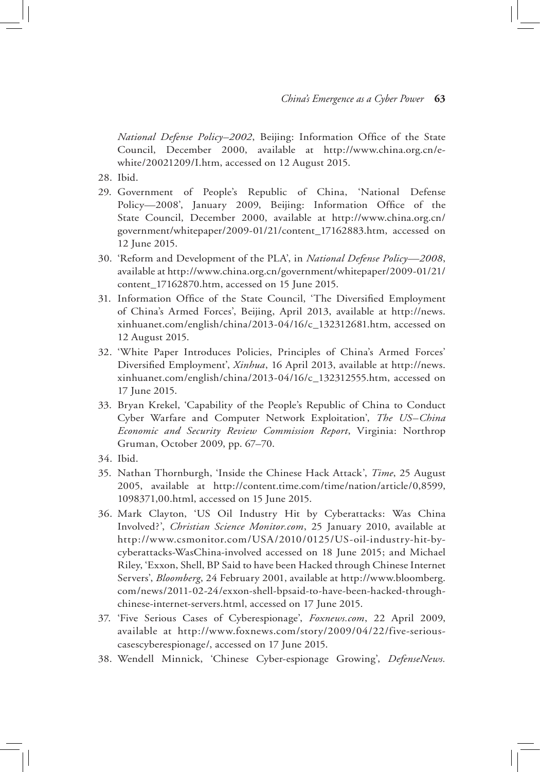*National Defense Policy–2002*, Beijing: Information Office of the State Council, December 2000, available at http://www.china.org.cn/ewhite/20021209/I.htm, accessed on 12 August 2015.

- 28. Ibid.
- 29. Government of People's Republic of China, 'National Defense Policy—2008', January 2009, Beijing: Information Office of the State Council, December 2000, available at http://www.china.org.cn/ government/whitepaper/2009-01/21/content\_17162883.htm, accessed on 12 June 2015.
- 30. 'Reform and Development of the PLA', in *National Defense Policy—2008*, available at http://www.china.org.cn/government/whitepaper/2009-01/21/ content\_17162870.htm, accessed on 15 June 2015.
- 31. Information Office of the State Council, 'The Diversified Employment of China's Armed Forces', Beijing, April 2013, available at http://news. xinhuanet.com/english/china/2013-04/16/c\_132312681.htm, accessed on 12 August 2015.
- 32. 'White Paper Introduces Policies, Principles of China's Armed Forces' Diversified Employment', *Xinhua*, 16 April 2013, available at http://news. xinhuanet.com/english/china/2013-04/16/c\_132312555.htm, accessed on 17 June 2015.
- 33. Bryan Krekel, 'Capability of the People's Republic of China to Conduct Cyber Warfare and Computer Network Exploitation', *The US–China Economic and Security Review Commission Report*, Virginia: Northrop Gruman, October 2009, pp. 67–70.
- 34. Ibid.
- 35. Nathan Thornburgh, 'Inside the Chinese Hack Attack', *Time*, 25 August 2005, available at http://content.time.com/time/nation/article/0,8599, 1098371,00.html, accessed on 15 June 2015.
- 36. Mark Clayton, 'US Oil Industry Hit by Cyberattacks: Was China Involved?', *Christian Science Monitor.com*, 25 January 2010, available at http://www.csmonitor.com/USA/2010/0125/US-oil-industry-hit-bycyberattacks-WasChina-involved accessed on 18 June 2015; and Michael Riley, 'Exxon, Shell, BP Said to have been Hacked through Chinese Internet Servers', *Bloomberg*, 24 February 2001, available at http://www.bloomberg. com/news/2011-02-24/exxon-shell-bpsaid-to-have-been-hacked-throughchinese-internet-servers.html, accessed on 17 June 2015.
- 37. 'Five Serious Cases of Cyberespionage', *Foxnews.com*, 22 April 2009, available at http://www.foxnews.com/story/2009/04/22/five-seriouscasescyberespionage/, accessed on 17 June 2015.
- 38. Wendell Minnick, 'Chinese Cyber-espionage Growing', *DefenseNews.*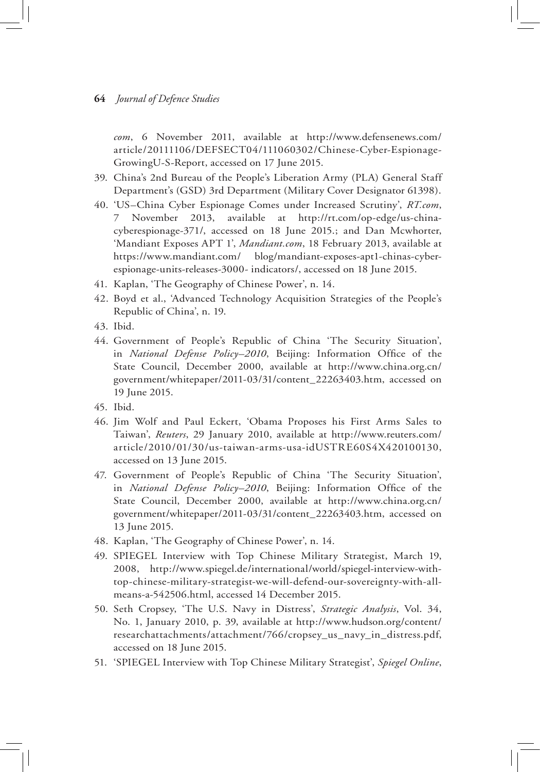*com*, 6 November 2011, available at http://www.defensenews.com/ article/20111106/DEFSECT04/111060302/Chinese-Cyber-Espionage-GrowingU-S-Report, accessed on 17 June 2015.

- 39. China's 2nd Bureau of the People's Liberation Army (PLA) General Staff Department's (GSD) 3rd Department (Military Cover Designator 61398).
- 40. 'US–China Cyber Espionage Comes under Increased Scrutiny', *RT.com*, 7 November 2013, available at http://rt.com/op-edge/us-chinacyberespionage-371/, accessed on 18 June 2015.; and Dan Mcwhorter, 'Mandiant Exposes APT 1', *Mandiant.com*, 18 February 2013, available at https://www.mandiant.com/ blog/mandiant-exposes-apt1-chinas-cyberespionage-units-releases-3000- indicators/, accessed on 18 June 2015.
- 41. Kaplan, 'The Geography of Chinese Power', n. 14.
- 42. Boyd et al., 'Advanced Technology Acquisition Strategies of the People's Republic of China', n. 19.
- 43. Ibid.
- 44. Government of People's Republic of China 'The Security Situation', in *National Defense Policy–2010*, Beijing: Information Office of the State Council, December 2000, available at http://www.china.org.cn/ government/whitepaper/2011-03/31/content\_22263403.htm, accessed on 19 June 2015.
- 45. Ibid.
- 46. Jim Wolf and Paul Eckert, 'Obama Proposes his First Arms Sales to Taiwan', *Reuters*, 29 January 2010, available at http://www.reuters.com/ article/2010/01/30/us-taiwan-arms-usa-idUSTRE60S4X420100130, accessed on 13 June 2015.
- 47. Government of People's Republic of China 'The Security Situation', in *National Defense Policy–2010*, Beijing: Information Office of the State Council, December 2000, available at http://www.china.org.cn/ government/whitepaper/2011-03/31/content\_22263403.htm, accessed on 13 June 2015.
- 48. Kaplan, 'The Geography of Chinese Power', n. 14.
- 49. SPIEGEL Interview with Top Chinese Military Strategist, March 19, 2008, http://www.spiegel.de/international/world/spiegel-interview-withtop-chinese-military-strategist-we-will-defend-our-sovereignty-with-allmeans-a-542506.html, accessed 14 December 2015.
- 50. Seth Cropsey, 'The U.S. Navy in Distress', *Strategic Analysis*, Vol. 34, No. 1, January 2010, p. 39, available at http://www.hudson.org/content/ researchattachments/attachment/766/cropsey\_us\_navy\_in\_distress.pdf, accessed on 18 June 2015.
- 51. 'SPIEGEL Interview with Top Chinese Military Strategist', *Spiegel Online*,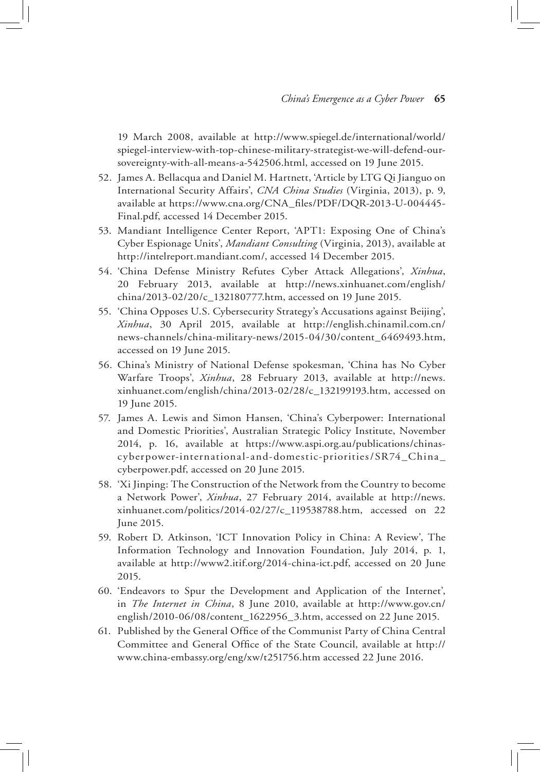19 March 2008, available at http://www.spiegel.de/international/world/ spiegel-interview-with-top-chinese-military-strategist-we-will-defend-oursovereignty-with-all-means-a-542506.html, accessed on 19 June 2015.

- 52. James A. Bellacqua and Daniel M. Hartnett, 'Article by LTG Qi Jianguo on International Security Affairs', *CNA China Studies* (Virginia, 2013), p. 9, available at https://www.cna.org/CNA\_files/PDF/DQR-2013-U-004445- Final.pdf, accessed 14 December 2015.
- 53. Mandiant Intelligence Center Report, 'APT1: Exposing One of China's Cyber Espionage Units', *Mandiant Consulting* (Virginia, 2013), available at http://intelreport.mandiant.com/, accessed 14 December 2015.
- 54. 'China Defense Ministry Refutes Cyber Attack Allegations', *Xinhua*, 20 February 2013, available at http://news.xinhuanet.com/english/ china/2013-02/20/c\_132180777.htm, accessed on 19 June 2015.
- 55. 'China Opposes U.S. Cybersecurity Strategy's Accusations against Beijing', *Xinhua*, 30 April 2015, available at http://english.chinamil.com.cn/ news-channels/china-military-news/2015-04/30/content\_6469493.htm, accessed on 19 June 2015.
- 56. China's Ministry of National Defense spokesman, 'China has No Cyber Warfare Troops', *Xinhua*, 28 February 2013, available at http://news. xinhuanet.com/english/china/2013-02/28/c\_132199193.htm, accessed on 19 June 2015.
- 57. James A. Lewis and Simon Hansen, 'China's Cyberpower: International and Domestic Priorities', Australian Strategic Policy Institute, November 2014, p. 16, available at https://www.aspi.org.au/publications/chinascyberpower-international-and-domestic-priorities/SR74\_China\_ cyberpower.pdf, accessed on 20 June 2015.
- 58. 'Xi Jinping: The Construction of the Network from the Country to become a Network Power', *Xinhua*, 27 February 2014, available at http://news. xinhuanet.com/politics/2014-02/27/c\_119538788.htm, accessed on 22 June 2015.
- 59. Robert D. Atkinson, 'ICT Innovation Policy in China: A Review', The Information Technology and Innovation Foundation, July 2014, p. 1, available at http://www2.itif.org/2014-china-ict.pdf, accessed on 20 June 2015.
- 60. 'Endeavors to Spur the Development and Application of the Internet', in *The Internet in China*, 8 June 2010, available at http://www.gov.cn/ english/2010-06/08/content\_1622956\_3.htm, accessed on 22 June 2015.
- 61. Published by the General Office of the Communist Party of China Central Committee and General Office of the State Council, available at http:// www.china-embassy.org/eng/xw/t251756.htm accessed 22 June 2016.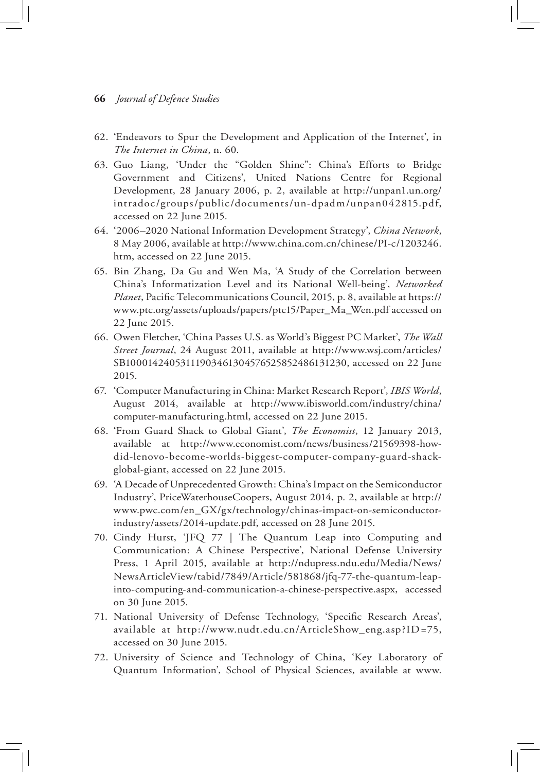- 62. 'Endeavors to Spur the Development and Application of the Internet', in *The Internet in China*, n. 60.
- 63. Guo Liang, 'Under the "Golden Shine": China's Efforts to Bridge Government and Citizens', United Nations Centre for Regional Development, 28 January 2006, p. 2, available at http://unpan1.un.org/ intradoc/groups/public/documents/un-dpadm/unpan042815.pdf, accessed on 22 June 2015.
- 64. '2006–2020 National Information Development Strategy', *China Network*, 8 May 2006, available at http://www.china.com.cn/chinese/PI-c/1203246. htm, accessed on 22 June 2015.
- 65. Bin Zhang, Da Gu and Wen Ma, 'A Study of the Correlation between China's Informatization Level and its National Well-being', *Networked Planet*, Pacific Telecommunications Council, 2015, p. 8, available at https:// www.ptc.org/assets/uploads/papers/ptc15/Paper\_Ma\_Wen.pdf accessed on 22 June 2015.
- 66. Owen Fletcher, 'China Passes U.S. as World's Biggest PC Market', *The Wall Street Journal*, 24 August 2011, available at http://www.wsj.com/articles/ SB10001424053111903461304576525852486131230, accessed on 22 June 2015.
- 67. 'Computer Manufacturing in China: Market Research Report', *IBIS World*, August 2014, available at http://www.ibisworld.com/industry/china/ computer-manufacturing.html, accessed on 22 June 2015.
- 68. 'From Guard Shack to Global Giant', *The Economist*, 12 January 2013, available at http://www.economist.com/news/business/21569398-howdid-lenovo-become-worlds-biggest-computer-company-guard-shackglobal-giant, accessed on 22 June 2015.
- 69. 'A Decade of Unprecedented Growth: China's Impact on the Semiconductor Industry', PriceWaterhouseCoopers, August 2014, p. 2, available at http:// www.pwc.com/en\_GX/gx/technology/chinas-impact-on-semiconductorindustry/assets/2014-update.pdf, accessed on 28 June 2015.
- 70. Cindy Hurst, 'JFQ 77 | The Quantum Leap into Computing and Communication: A Chinese Perspective', National Defense University Press, 1 April 2015, available at http://ndupress.ndu.edu/Media/News/ NewsArticleView/tabid/7849/Article/581868/jfq-77-the-quantum-leapinto-computing-and-communication-a-chinese-perspective.aspx, accessed on 30 June 2015.
- 71. National University of Defense Technology, 'Specific Research Areas', available at http://www.nudt.edu.cn/ArticleShow\_eng.asp?ID=75, accessed on 30 June 2015.
- 72. University of Science and Technology of China, 'Key Laboratory of Quantum Information', School of Physical Sciences, available at www.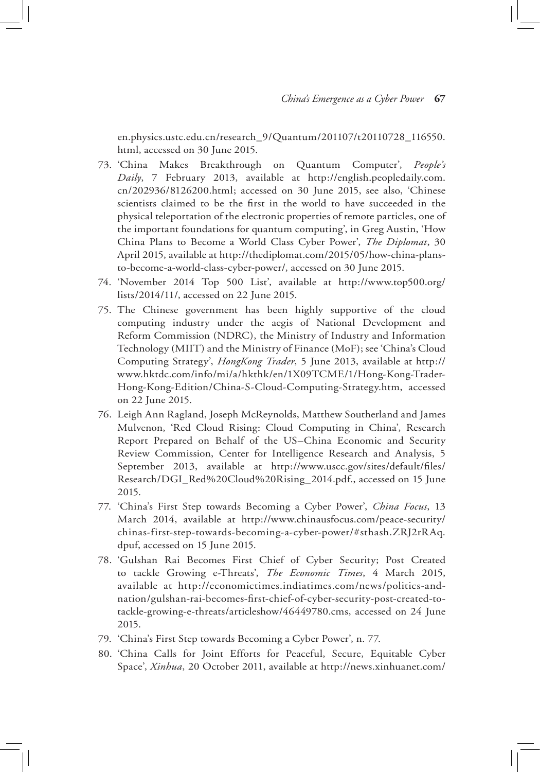en.physics.ustc.edu.cn/research\_9/Quantum/201107/t20110728\_116550. html, accessed on 30 June 2015.

- 73. 'China Makes Breakthrough on Quantum Computer', *People's Daily*, 7 February 2013, available at http://english.peopledaily.com. cn/202936/8126200.html; accessed on 30 June 2015, see also, 'Chinese scientists claimed to be the first in the world to have succeeded in the physical teleportation of the electronic properties of remote particles, one of the important foundations for quantum computing', in Greg Austin, 'How China Plans to Become a World Class Cyber Power', *The Diplomat*, 30 April 2015, available at http://thediplomat.com/2015/05/how-china-plansto-become-a-world-class-cyber-power/, accessed on 30 June 2015.
- 74. 'November 2014 Top 500 List', available at http://www.top500.org/ lists/2014/11/, accessed on 22 June 2015.
- 75. The Chinese government has been highly supportive of the cloud computing industry under the aegis of National Development and Reform Commission (NDRC), the Ministry of Industry and Information Technology (MIIT) and the Ministry of Finance (MoF); see 'China's Cloud Computing Strategy', *HongKong Trader*, 5 June 2013, available at http:// www.hktdc.com/info/mi/a/hkthk/en/1X09TCME/1/Hong-Kong-Trader-Hong-Kong-Edition/China-S-Cloud-Computing-Strategy.htm, accessed on 22 June 2015.
- 76. Leigh Ann Ragland, Joseph McReynolds, Matthew Southerland and James Mulvenon, 'Red Cloud Rising: Cloud Computing in China', Research Report Prepared on Behalf of the US–China Economic and Security Review Commission, Center for Intelligence Research and Analysis, 5 September 2013, available at http://www.uscc.gov/sites/default/files/ Research/DGI\_Red%20Cloud%20Rising\_2014.pdf., accessed on 15 June 2015.
- 77. 'China's First Step towards Becoming a Cyber Power', *China Focus*, 13 March 2014, available at http://www.chinausfocus.com/peace-security/ chinas-first-step-towards-becoming-a-cyber-power/#sthash.ZRJ2rRAq. dpuf, accessed on 15 June 2015.
- 78. 'Gulshan Rai Becomes First Chief of Cyber Security; Post Created to tackle Growing e-Threats', *The Economic Times*, 4 March 2015, available at http://economictimes.indiatimes.com/news/politics-andnation/gulshan-rai-becomes-first-chief-of-cyber-security-post-created-totackle-growing-e-threats/articleshow/46449780.cms, accessed on 24 June 2015.
- 79. 'China's First Step towards Becoming a Cyber Power', n. 77.
- 80. 'China Calls for Joint Efforts for Peaceful, Secure, Equitable Cyber Space', *Xinhua*, 20 October 2011, available at http://news.xinhuanet.com/